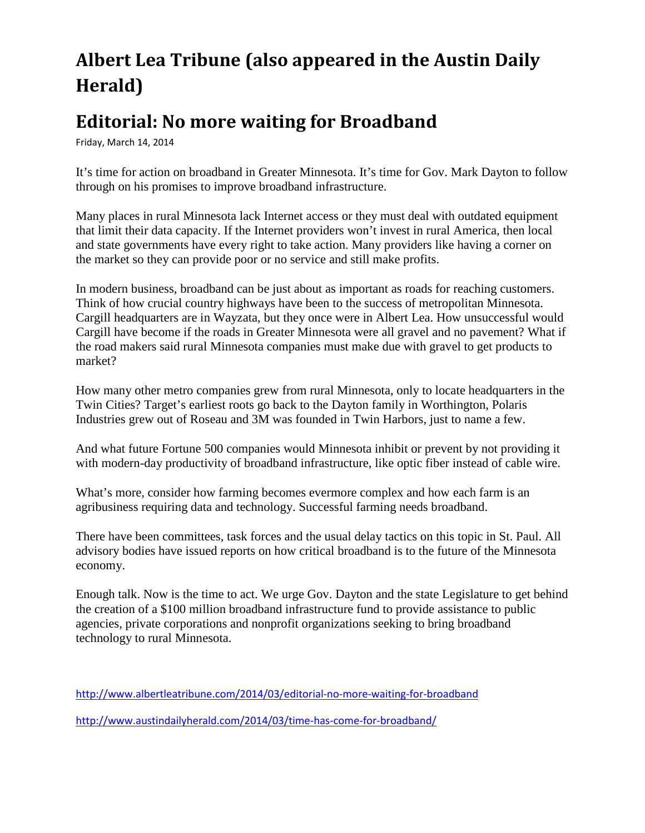# **Albert Lea Tribune (also appeared in the Austin Daily Herald)**

# **Editorial: No more waiting for Broadband**

Friday, March 14, 2014

It's time for action on broadband in Greater Minnesota. It's time for Gov. Mark Dayton to follow through on his promises to improve broadband infrastructure.

Many places in rural Minnesota lack Internet access or they must deal with outdated equipment that limit their data capacity. If the Internet providers won't invest in rural America, then local and state governments have every right to take action. Many providers like having a corner on the market so they can provide poor or no service and still make profits.

In modern business, broadband can be just about as important as roads for reaching customers. Think of how crucial country highways have been to the success of metropolitan Minnesota. Cargill headquarters are in Wayzata, but they once were in Albert Lea. How unsuccessful would Cargill have become if the roads in Greater Minnesota were all gravel and no pavement? What if the road makers said rural Minnesota companies must make due with gravel to get products to market?

How many other metro companies grew from rural Minnesota, only to locate headquarters in the Twin Cities? Target's earliest roots go back to the Dayton family in Worthington, Polaris Industries grew out of Roseau and 3M was founded in Twin Harbors, just to name a few.

And what future Fortune 500 companies would Minnesota inhibit or prevent by not providing it with modern-day productivity of broadband infrastructure, like optic fiber instead of cable wire.

What's more, consider how farming becomes evermore complex and how each farm is an agribusiness requiring data and technology. Successful farming needs broadband.

There have been committees, task forces and the usual delay tactics on this topic in St. Paul. All advisory bodies have issued reports on how critical broadband is to the future of the Minnesota economy.

Enough talk. Now is the time to act. We urge Gov. Dayton and the state Legislature to get behind the creation of a \$100 million broadband infrastructure fund to provide assistance to public agencies, private corporations and nonprofit organizations seeking to bring broadband technology to rural Minnesota.

<http://www.albertleatribune.com/2014/03/editorial-no-more-waiting-for-broadband>

<http://www.austindailyherald.com/2014/03/time-has-come-for-broadband/>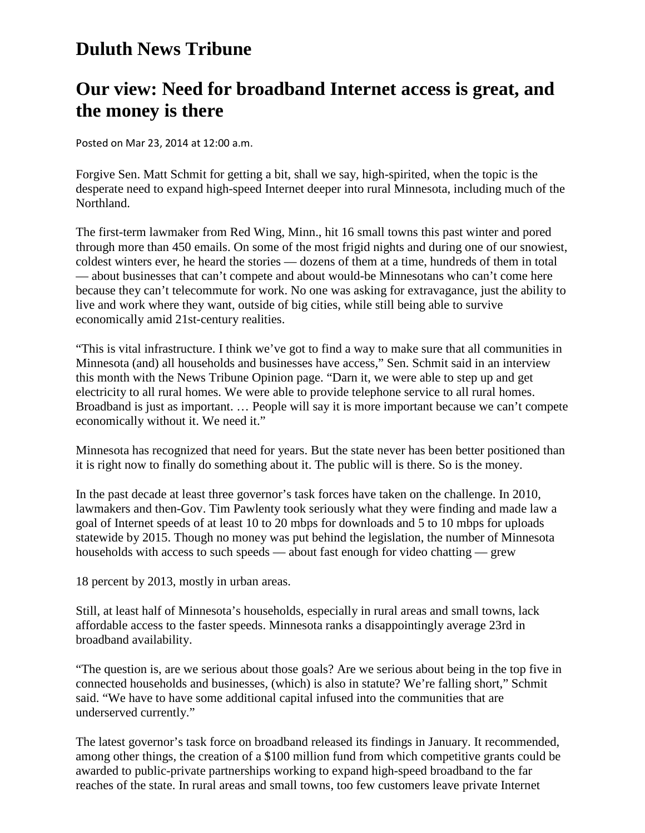### **Duluth News Tribune**

### **Our view: Need for broadband Internet access is great, and the money is there**

Posted on Mar 23, 2014 at 12:00 a.m.

Forgive Sen. Matt Schmit for getting a bit, shall we say, high-spirited, when the topic is the desperate need to expand high-speed Internet deeper into rural Minnesota, including much of the Northland.

The first-term lawmaker from Red Wing, Minn., hit 16 small towns this past winter and pored through more than 450 emails. On some of the most frigid nights and during one of our snowiest, coldest winters ever, he heard the stories — dozens of them at a time, hundreds of them in total — about businesses that can't compete and about would-be Minnesotans who can't come here because they can't telecommute for work. No one was asking for extravagance, just the ability to live and work where they want, outside of big cities, while still being able to survive economically amid 21st-century realities.

"This is vital infrastructure. I think we've got to find a way to make sure that all communities in Minnesota (and) all households and businesses have access," Sen. Schmit said in an interview this month with the News Tribune Opinion page. "Darn it, we were able to step up and get electricity to all rural homes. We were able to provide telephone service to all rural homes. Broadband is just as important. … People will say it is more important because we can't compete economically without it. We need it."

Minnesota has recognized that need for years. But the state never has been better positioned than it is right now to finally do something about it. The public will is there. So is the money.

In the past decade at least three governor's task forces have taken on the challenge. In 2010, lawmakers and then-Gov. Tim Pawlenty took seriously what they were finding and made law a goal of Internet speeds of at least 10 to 20 mbps for downloads and 5 to 10 mbps for uploads statewide by 2015. Though no money was put behind the legislation, the number of Minnesota households with access to such speeds — about fast enough for video chatting — grew

18 percent by 2013, mostly in urban areas.

Still, at least half of Minnesota's households, especially in rural areas and small towns, lack affordable access to the faster speeds. Minnesota ranks a disappointingly average 23rd in broadband availability.

"The question is, are we serious about those goals? Are we serious about being in the top five in connected households and businesses, (which) is also in statute? We're falling short," Schmit said. "We have to have some additional capital infused into the communities that are underserved currently."

The latest governor's task force on broadband released its findings in January. It recommended, among other things, the creation of a \$100 million fund from which competitive grants could be awarded to public-private partnerships working to expand high-speed broadband to the far reaches of the state. In rural areas and small towns, too few customers leave private Internet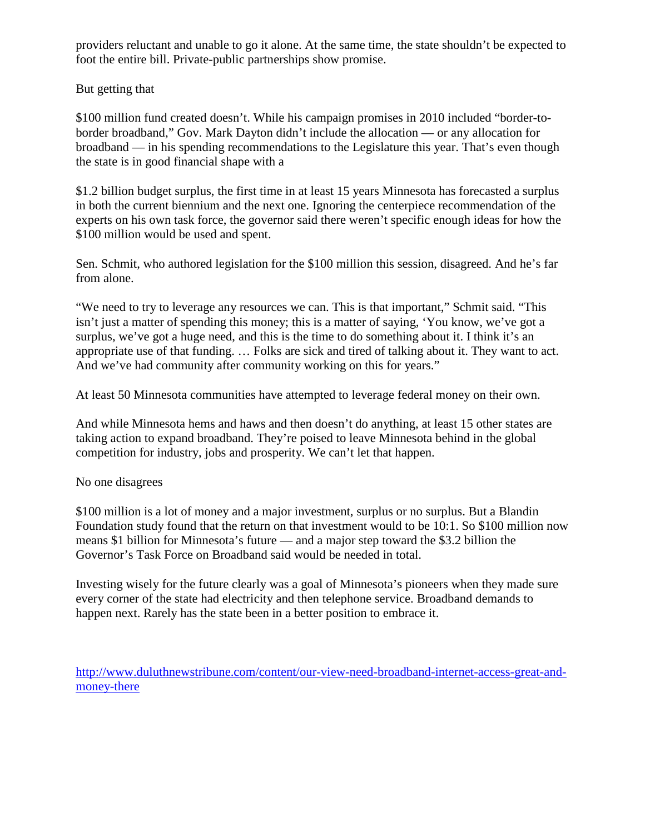providers reluctant and unable to go it alone. At the same time, the state shouldn't be expected to foot the entire bill. Private-public partnerships show promise.

#### But getting that

\$100 million fund created doesn't. While his campaign promises in 2010 included "border-toborder broadband," Gov. Mark Dayton didn't include the allocation — or any allocation for broadband — in his spending recommendations to the Legislature this year. That's even though the state is in good financial shape with a

\$1.2 billion budget surplus, the first time in at least 15 years Minnesota has forecasted a surplus in both the current biennium and the next one. Ignoring the centerpiece recommendation of the experts on his own task force, the governor said there weren't specific enough ideas for how the \$100 million would be used and spent.

Sen. Schmit, who authored legislation for the \$100 million this session, disagreed. And he's far from alone.

"We need to try to leverage any resources we can. This is that important," Schmit said. "This isn't just a matter of spending this money; this is a matter of saying, 'You know, we've got a surplus, we've got a huge need, and this is the time to do something about it. I think it's an appropriate use of that funding. … Folks are sick and tired of talking about it. They want to act. And we've had community after community working on this for years."

At least 50 Minnesota communities have attempted to leverage federal money on their own.

And while Minnesota hems and haws and then doesn't do anything, at least 15 other states are taking action to expand broadband. They're poised to leave Minnesota behind in the global competition for industry, jobs and prosperity. We can't let that happen.

#### No one disagrees

\$100 million is a lot of money and a major investment, surplus or no surplus. But a Blandin Foundation study found that the return on that investment would to be 10:1. So \$100 million now means \$1 billion for Minnesota's future — and a major step toward the \$3.2 billion the Governor's Task Force on Broadband said would be needed in total.

Investing wisely for the future clearly was a goal of Minnesota's pioneers when they made sure every corner of the state had electricity and then telephone service. Broadband demands to happen next. Rarely has the state been in a better position to embrace it.

[http://www.duluthnewstribune.com/content/our-view-need-broadband-internet-access-great-and](http://www.duluthnewstribune.com/content/our-view-need-broadband-internet-access-great-and-money-there)[money-there](http://www.duluthnewstribune.com/content/our-view-need-broadband-internet-access-great-and-money-there)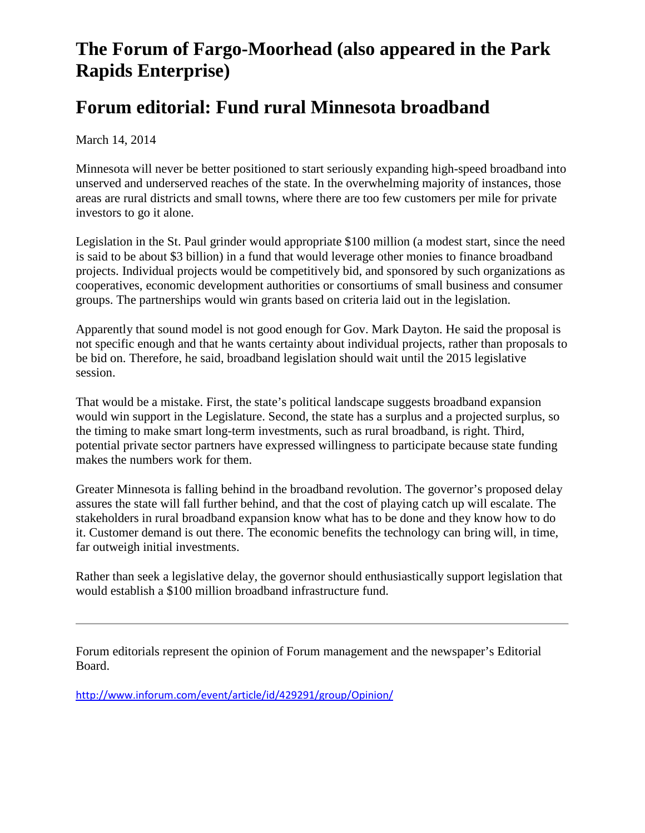# **The Forum of Fargo-Moorhead (also appeared in the Park Rapids Enterprise)**

### **Forum editorial: Fund rural Minnesota broadband**

March 14, 2014

Minnesota will never be better positioned to start seriously expanding high-speed broadband into unserved and underserved reaches of the state. In the overwhelming majority of instances, those areas are rural districts and small towns, where there are too few customers per mile for private investors to go it alone.

Legislation in the St. Paul grinder would appropriate \$100 million (a modest start, since the need is said to be about \$3 billion) in a fund that would leverage other monies to finance broadband projects. Individual projects would be competitively bid, and sponsored by such organizations as cooperatives, economic development authorities or consortiums of small business and consumer groups. The partnerships would win grants based on criteria laid out in the legislation.

Apparently that sound model is not good enough for Gov. Mark Dayton. He said the proposal is not specific enough and that he wants certainty about individual projects, rather than proposals to be bid on. Therefore, he said, broadband legislation should wait until the 2015 legislative session.

That would be a mistake. First, the state's political landscape suggests broadband expansion would win support in the Legislature. Second, the state has a surplus and a projected surplus, so the timing to make smart long-term investments, such as rural broadband, is right. Third, potential private sector partners have expressed willingness to participate because state funding makes the numbers work for them.

Greater Minnesota is falling behind in the broadband revolution. The governor's proposed delay assures the state will fall further behind, and that the cost of playing catch up will escalate. The stakeholders in rural broadband expansion know what has to be done and they know how to do it. Customer demand is out there. The economic benefits the technology can bring will, in time, far outweigh initial investments.

Rather than seek a legislative delay, the governor should enthusiastically support legislation that would establish a \$100 million broadband infrastructure fund.

Forum editorials represent the opinion of Forum management and the newspaper's Editorial Board.

<http://www.inforum.com/event/article/id/429291/group/Opinion/>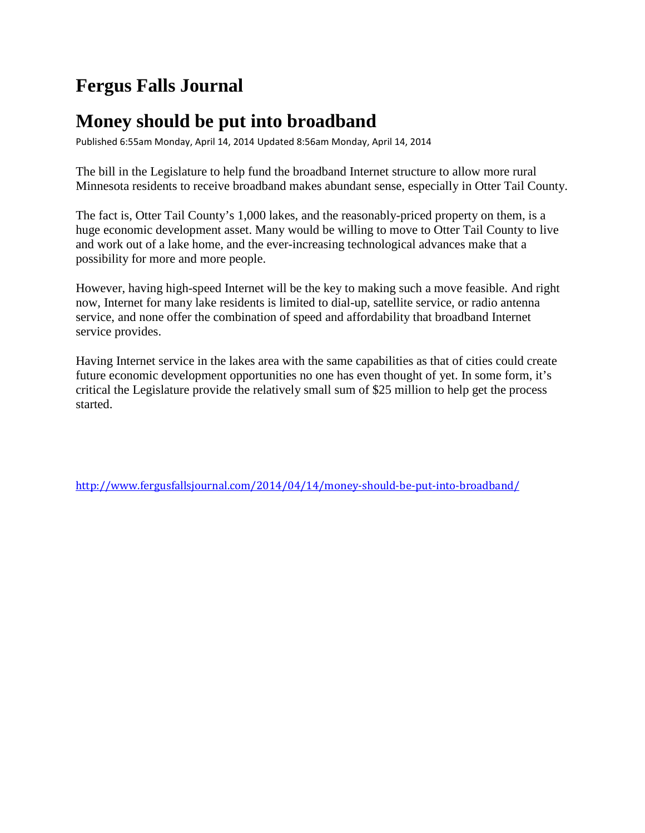### **Fergus Falls Journal**

### **Money should be put into broadband**

Published 6:55am Monday, April 14, 2014 Updated 8:56am Monday, April 14, 2014

The bill in the Legislature to help fund the broadband Internet structure to allow more rural Minnesota residents to receive broadband makes abundant sense, especially in Otter Tail County.

The fact is, Otter Tail County's 1,000 lakes, and the reasonably-priced property on them, is a huge economic development asset. Many would be willing to move to Otter Tail County to live and work out of a lake home, and the ever-increasing technological advances make that a possibility for more and more people.

However, having high-speed Internet will be the key to making such a move feasible. And right now, Internet for many lake residents is limited to dial-up, satellite service, or radio antenna service, and none offer the combination of speed and affordability that broadband Internet service provides.

Having Internet service in the lakes area with the same capabilities as that of cities could create future economic development opportunities no one has even thought of yet. In some form, it's critical the Legislature provide the relatively small sum of \$25 million to help get the process started.

<http://www.fergusfallsjournal.com/2014/04/14/money-should-be-put-into-broadband/>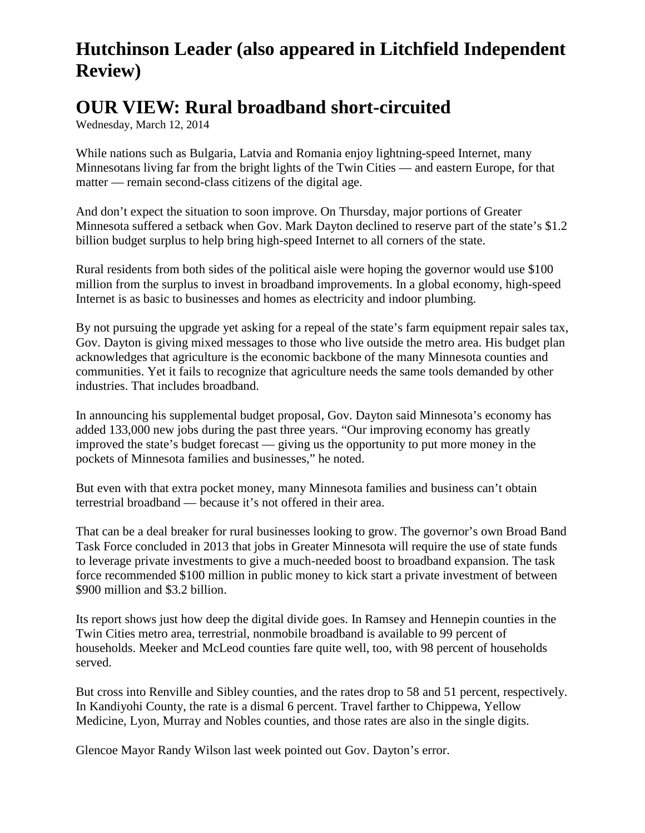## **Hutchinson Leader (also appeared in Litchfield Independent Review)**

### **OUR VIEW: Rural broadband short-circuited**

Wednesday, March 12, 2014

While nations such as Bulgaria, Latvia and Romania enjoy lightning-speed Internet, many Minnesotans living far from the bright lights of the Twin Cities — and eastern Europe, for that matter — remain second-class citizens of the digital age.

And don't expect the situation to soon improve. On Thursday, major portions of Greater Minnesota suffered a setback when Gov. Mark Dayton declined to reserve part of the state's \$1.2 billion budget surplus to help bring high-speed Internet to all corners of the state.

Rural residents from both sides of the political aisle were hoping the governor would use \$100 million from the surplus to invest in broadband improvements. In a global economy, high-speed Internet is as basic to businesses and homes as electricity and indoor plumbing.

By not pursuing the upgrade yet asking for a repeal of the state's farm equipment repair sales tax, Gov. Dayton is giving mixed messages to those who live outside the metro area. His budget plan acknowledges that agriculture is the economic backbone of the many Minnesota counties and communities. Yet it fails to recognize that agriculture needs the same tools demanded by other industries. That includes broadband.

In announcing his supplemental budget proposal, Gov. Dayton said Minnesota's economy has added 133,000 new jobs during the past three years. "Our improving economy has greatly improved the state's budget forecast — giving us the opportunity to put more money in the pockets of Minnesota families and businesses," he noted.

But even with that extra pocket money, many Minnesota families and business can't obtain terrestrial broadband — because it's not offered in their area.

That can be a deal breaker for rural businesses looking to grow. The governor's own Broad Band Task Force concluded in 2013 that jobs in Greater Minnesota will require the use of state funds to leverage private investments to give a much-needed boost to broadband expansion. The task force recommended \$100 million in public money to kick start a private investment of between \$900 million and \$3.2 billion.

Its report shows just how deep the digital divide goes. In Ramsey and Hennepin counties in the Twin Cities metro area, terrestrial, nonmobile broadband is available to 99 percent of households. Meeker and McLeod counties fare quite well, too, with 98 percent of households served.

But cross into Renville and Sibley counties, and the rates drop to 58 and 51 percent, respectively. In Kandiyohi County, the rate is a dismal 6 percent. Travel farther to Chippewa, Yellow Medicine, Lyon, Murray and Nobles counties, and those rates are also in the single digits.

Glencoe Mayor Randy Wilson last week pointed out Gov. Dayton's error.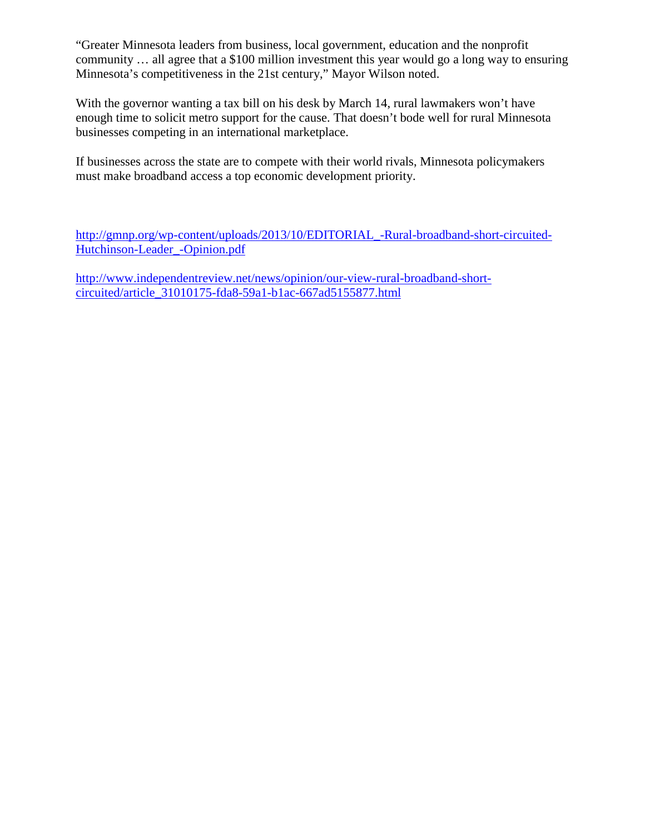"Greater Minnesota leaders from business, local government, education and the nonprofit community … all agree that a \$100 million investment this year would go a long way to ensuring Minnesota's competitiveness in the 21st century," Mayor Wilson noted.

With the governor wanting a tax bill on his desk by March 14, rural lawmakers won't have enough time to solicit metro support for the cause. That doesn't bode well for rural Minnesota businesses competing in an international marketplace.

If businesses across the state are to compete with their world rivals, Minnesota policymakers must make broadband access a top economic development priority.

[http://gmnp.org/wp-content/uploads/2013/10/EDITORIAL\\_-Rural-broadband-short-circuited-](http://gmnp.org/wp-content/uploads/2013/10/EDITORIAL_-Rural-broadband-short-circuited-Hutchinson-Leader_-Opinion.pdf)[Hutchinson-Leader\\_-Opinion.pdf](http://gmnp.org/wp-content/uploads/2013/10/EDITORIAL_-Rural-broadband-short-circuited-Hutchinson-Leader_-Opinion.pdf)

[http://www.independentreview.net/news/opinion/our-view-rural-broadband-short](http://www.independentreview.net/news/opinion/our-view-rural-broadband-short-circuited/article_31010175-fda8-59a1-b1ac-667ad5155877.html)[circuited/article\\_31010175-fda8-59a1-b1ac-667ad5155877.html](http://www.independentreview.net/news/opinion/our-view-rural-broadband-short-circuited/article_31010175-fda8-59a1-b1ac-667ad5155877.html)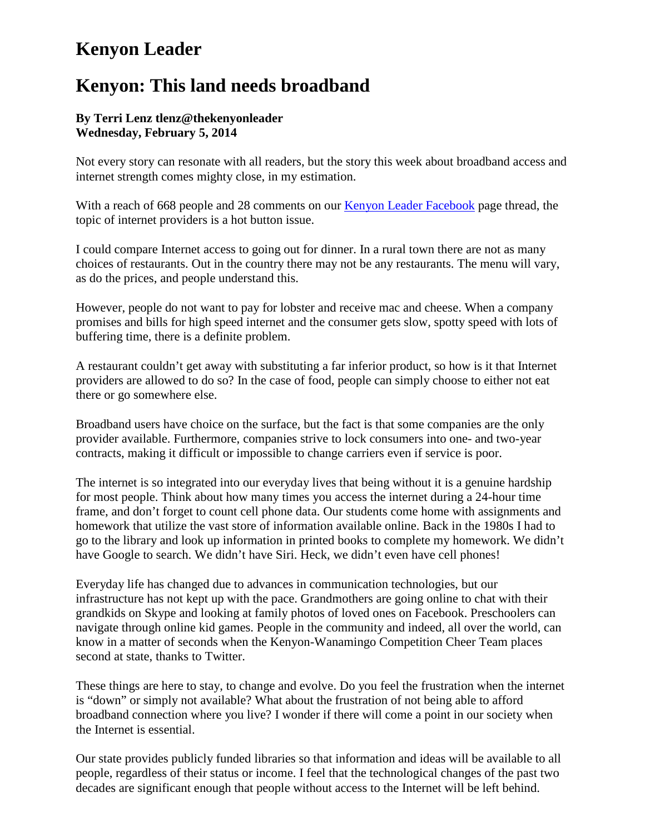### **Kenyon Leader**

### **Kenyon: This land needs broadband**

#### **By Terri Lenz tlenz@thekenyonleader Wednesday, February 5, 2014**

Not every story can resonate with all readers, but the story this week about broadband access and internet strength comes mighty close, in my estimation.

With a reach of 668 people and 28 comments on our [Kenyon Leader Facebook](https://www.facebook.com/pages/Kenyon-Leader/211144848928968) page thread, the topic of internet providers is a hot button issue.

I could compare Internet access to going out for dinner. In a rural town there are not as many choices of restaurants. Out in the country there may not be any restaurants. The menu will vary, as do the prices, and people understand this.

However, people do not want to pay for lobster and receive mac and cheese. When a company promises and bills for high speed internet and the consumer gets slow, spotty speed with lots of buffering time, there is a definite problem.

A restaurant couldn't get away with substituting a far inferior product, so how is it that Internet providers are allowed to do so? In the case of food, people can simply choose to either not eat there or go somewhere else.

Broadband users have choice on the surface, but the fact is that some companies are the only provider available. Furthermore, companies strive to lock consumers into one- and two-year contracts, making it difficult or impossible to change carriers even if service is poor.

The internet is so integrated into our everyday lives that being without it is a genuine hardship for most people. Think about how many times you access the internet during a 24-hour time frame, and don't forget to count cell phone data. Our students come home with assignments and homework that utilize the vast store of information available online. Back in the 1980s I had to go to the library and look up information in printed books to complete my homework. We didn't have Google to search. We didn't have Siri. Heck, we didn't even have cell phones!

Everyday life has changed due to advances in communication technologies, but our infrastructure has not kept up with the pace. Grandmothers are going online to chat with their grandkids on Skype and looking at family photos of loved ones on Facebook. Preschoolers can navigate through online kid games. People in the community and indeed, all over the world, can know in a matter of seconds when the Kenyon-Wanamingo Competition Cheer Team places second at state, thanks to Twitter.

These things are here to stay, to change and evolve. Do you feel the frustration when the internet is "down" or simply not available? What about the frustration of not being able to afford broadband connection where you live? I wonder if there will come a point in our society when the Internet is essential.

Our state provides publicly funded libraries so that information and ideas will be available to all people, regardless of their status or income. I feel that the technological changes of the past two decades are significant enough that people without access to the Internet will be left behind.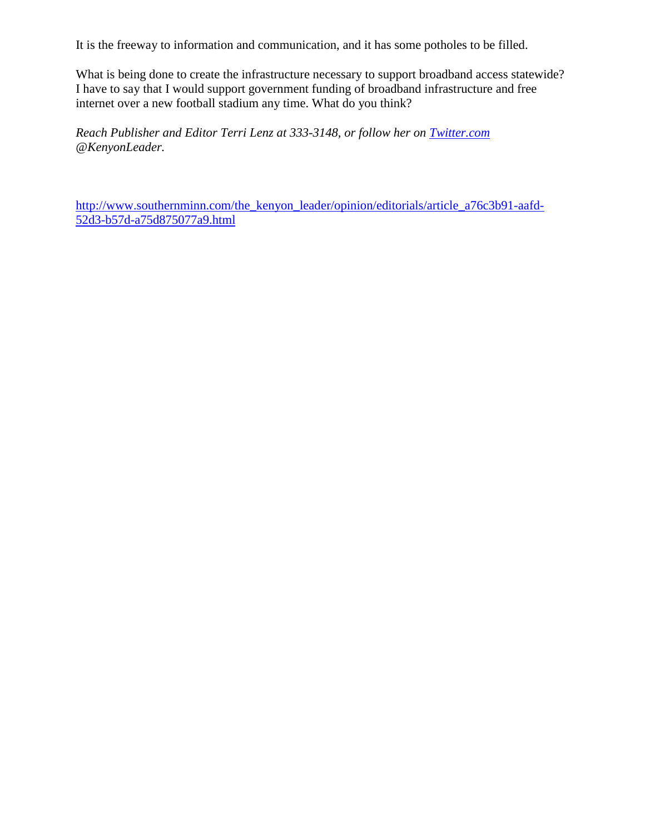It is the freeway to information and communication, and it has some potholes to be filled.

What is being done to create the infrastructure necessary to support broadband access statewide? I have to say that I would support government funding of broadband infrastructure and free internet over a new football stadium any time. What do you think?

*Reach Publisher and Editor Terri Lenz at 333-3148, or follow her on [Twitter.com](http://twitter.com/) @KenyonLeader.*

[http://www.southernminn.com/the\\_kenyon\\_leader/opinion/editorials/article\\_a76c3b91-aafd-](http://www.southernminn.com/the_kenyon_leader/opinion/editorials/article_a76c3b91-aafd-52d3-b57d-a75d875077a9.html)[52d3-b57d-a75d875077a9.html](http://www.southernminn.com/the_kenyon_leader/opinion/editorials/article_a76c3b91-aafd-52d3-b57d-a75d875077a9.html)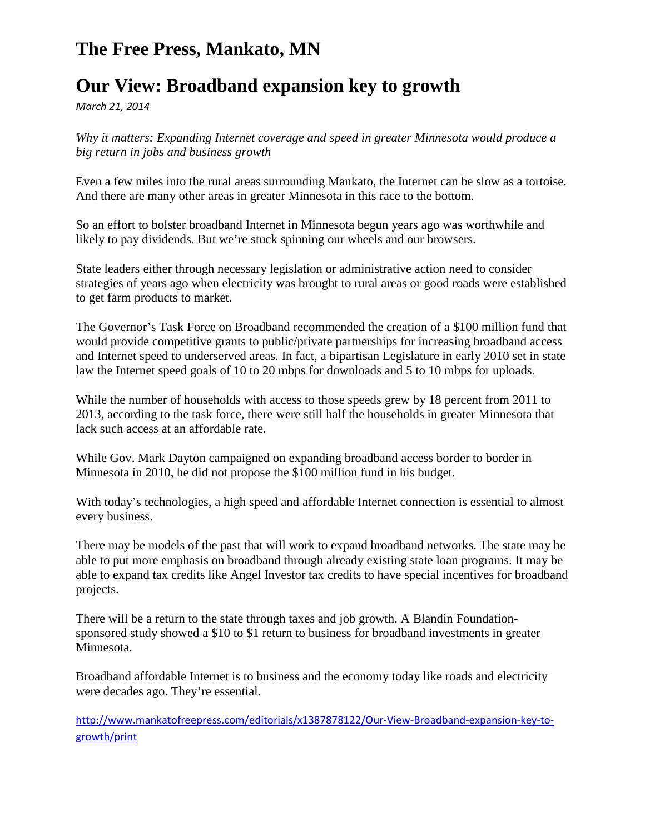### **The Free Press, Mankato, MN**

### **Our View: Broadband expansion key to growth**

*March 21, 2014*

*Why it matters: Expanding Internet coverage and speed in greater Minnesota would produce a big return in jobs and business growth*

Even a few miles into the rural areas surrounding Mankato, the Internet can be slow as a tortoise. And there are many other areas in greater Minnesota in this race to the bottom.

So an effort to bolster broadband Internet in Minnesota begun years ago was worthwhile and likely to pay dividends. But we're stuck spinning our wheels and our browsers.

State leaders either through necessary legislation or administrative action need to consider strategies of years ago when electricity was brought to rural areas or good roads were established to get farm products to market.

The Governor's Task Force on Broadband recommended the creation of a \$100 million fund that would provide competitive grants to public/private partnerships for increasing broadband access and Internet speed to underserved areas. In fact, a bipartisan Legislature in early 2010 set in state law the Internet speed goals of 10 to 20 mbps for downloads and 5 to 10 mbps for uploads.

While the number of households with access to those speeds grew by 18 percent from 2011 to 2013, according to the task force, there were still half the households in greater Minnesota that lack such access at an affordable rate.

While Gov. Mark Dayton campaigned on expanding broadband access border to border in Minnesota in 2010, he did not propose the \$100 million fund in his budget.

With today's technologies, a high speed and affordable Internet connection is essential to almost every business.

There may be models of the past that will work to expand broadband networks. The state may be able to put more emphasis on broadband through already existing state loan programs. It may be able to expand tax credits like Angel Investor tax credits to have special incentives for broadband projects.

There will be a return to the state through taxes and job growth. A Blandin Foundationsponsored study showed a \$10 to \$1 return to business for broadband investments in greater Minnesota.

Broadband affordable Internet is to business and the economy today like roads and electricity were decades ago. They're essential.

[http://www.mankatofreepress.com/editorials/x1387878122/Our-View-Broadband-expansion-key-to](http://www.mankatofreepress.com/editorials/x1387878122/Our-View-Broadband-expansion-key-to-growth/print)[growth/print](http://www.mankatofreepress.com/editorials/x1387878122/Our-View-Broadband-expansion-key-to-growth/print)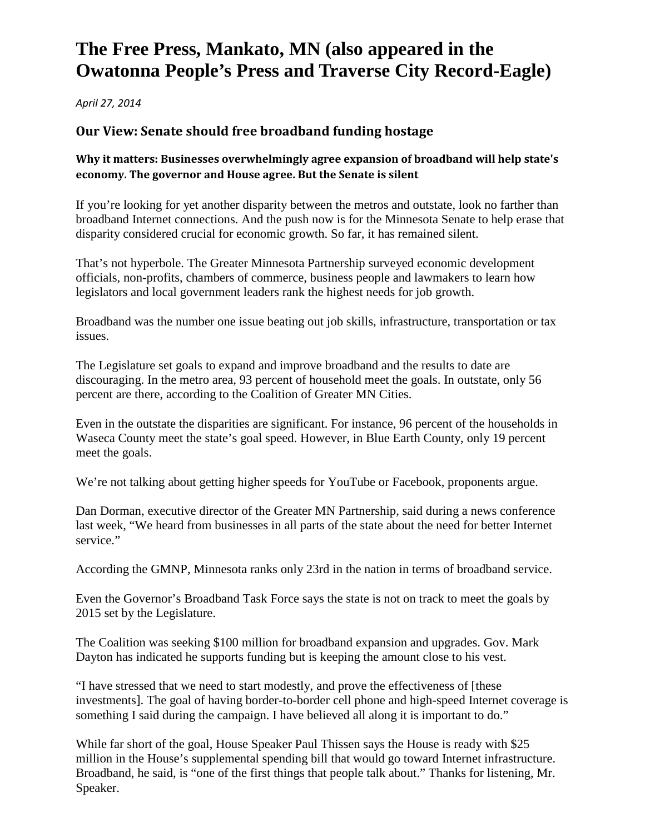## **The Free Press, Mankato, MN (also appeared in the Owatonna People's Press and Traverse City Record-Eagle)**

*April 27, 2014*

#### **Our View: Senate should free broadband funding hostage**

#### **Why it matters: Businesses overwhelmingly agree expansion of broadband will help state's economy. The governor and House agree. But the Senate is silent**

If you're looking for yet another disparity between the metros and outstate, look no farther than broadband Internet connections. And the push now is for the Minnesota Senate to help erase that disparity considered crucial for economic growth. So far, it has remained silent.

That's not hyperbole. The Greater Minnesota Partnership surveyed economic development officials, non-profits, chambers of commerce, business people and lawmakers to learn how legislators and local government leaders rank the highest needs for job growth.

Broadband was the number one issue beating out job skills, infrastructure, transportation or tax issues.

The Legislature set goals to expand and improve broadband and the results to date are discouraging. In the metro area, 93 percent of household meet the goals. In outstate, only 56 percent are there, according to the Coalition of Greater MN Cities.

Even in the outstate the disparities are significant. For instance, 96 percent of the households in Waseca County meet the state's goal speed. However, in Blue Earth County, only 19 percent meet the goals.

We're not talking about getting higher speeds for YouTube or Facebook, proponents argue.

Dan Dorman, executive director of the Greater MN Partnership, said during a news conference last week, "We heard from businesses in all parts of the state about the need for better Internet service."

According the GMNP, Minnesota ranks only 23rd in the nation in terms of broadband service.

Even the Governor's Broadband Task Force says the state is not on track to meet the goals by 2015 set by the Legislature.

The Coalition was seeking \$100 million for broadband expansion and upgrades. Gov. Mark Dayton has indicated he supports funding but is keeping the amount close to his vest.

"I have stressed that we need to start modestly, and prove the effectiveness of [these investments]. The goal of having border-to-border cell phone and high-speed Internet coverage is something I said during the campaign. I have believed all along it is important to do."

While far short of the goal, House Speaker Paul Thissen says the House is ready with \$25 million in the House's supplemental spending bill that would go toward Internet infrastructure. Broadband, he said, is "one of the first things that people talk about." Thanks for listening, Mr. Speaker.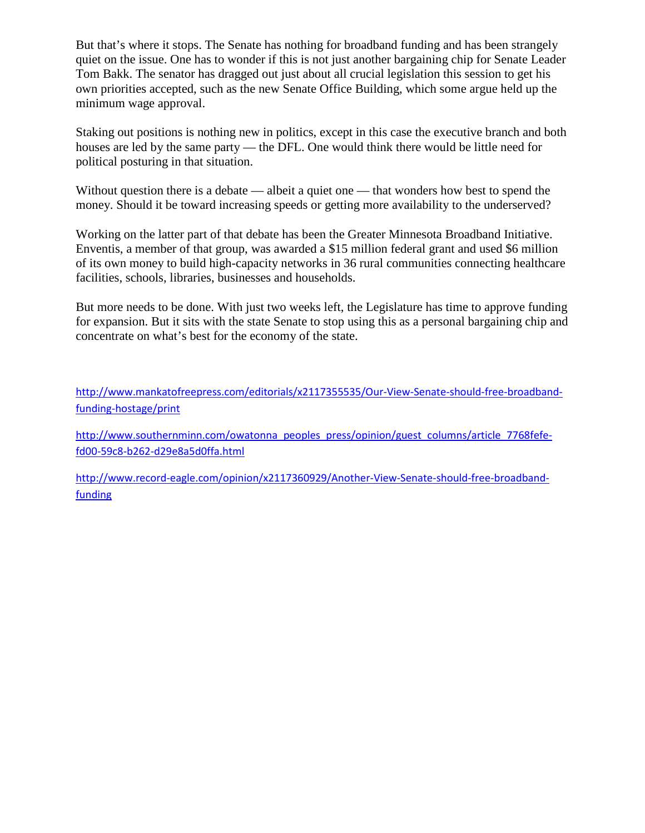But that's where it stops. The Senate has nothing for broadband funding and has been strangely quiet on the issue. One has to wonder if this is not just another bargaining chip for Senate Leader Tom Bakk. The senator has dragged out just about all crucial legislation this session to get his own priorities accepted, such as the new Senate Office Building, which some argue held up the minimum wage approval.

Staking out positions is nothing new in politics, except in this case the executive branch and both houses are led by the same party — the DFL. One would think there would be little need for political posturing in that situation.

Without question there is a debate — albeit a quiet one — that wonders how best to spend the money. Should it be toward increasing speeds or getting more availability to the underserved?

Working on the latter part of that debate has been the Greater Minnesota Broadband Initiative. Enventis, a member of that group, was awarded a \$15 million federal grant and used \$6 million of its own money to build high-capacity networks in 36 rural communities connecting healthcare facilities, schools, libraries, businesses and households.

But more needs to be done. With just two weeks left, the Legislature has time to approve funding for expansion. But it sits with the state Senate to stop using this as a personal bargaining chip and concentrate on what's best for the economy of the state.

[http://www.mankatofreepress.com/editorials/x2117355535/Our-View-Senate-should-free-broadband](http://www.mankatofreepress.com/editorials/x2117355535/Our-View-Senate-should-free-broadband-funding-hostage/print)[funding-hostage/print](http://www.mankatofreepress.com/editorials/x2117355535/Our-View-Senate-should-free-broadband-funding-hostage/print) 

[http://www.southernminn.com/owatonna\\_peoples\\_press/opinion/guest\\_columns/article\\_7768fefe](http://www.southernminn.com/owatonna_peoples_press/opinion/guest_columns/article_7768fefe-fd00-59c8-b262-d29e8a5d0ffa.html)[fd00-59c8-b262-d29e8a5d0ffa.html](http://www.southernminn.com/owatonna_peoples_press/opinion/guest_columns/article_7768fefe-fd00-59c8-b262-d29e8a5d0ffa.html)

[http://www.record-eagle.com/opinion/x2117360929/Another-View-Senate-should-free-broadband](http://www.record-eagle.com/opinion/x2117360929/Another-View-Senate-should-free-broadband-funding)[funding](http://www.record-eagle.com/opinion/x2117360929/Another-View-Senate-should-free-broadband-funding)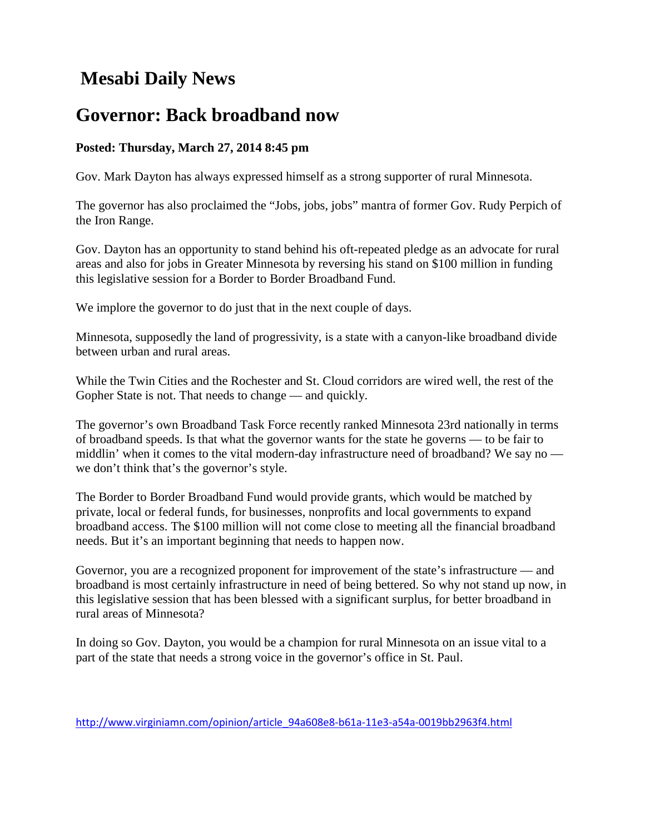## **Mesabi Daily News**

### **Governor: Back broadband now**

#### **Posted: Thursday, March 27, 2014 8:45 pm**

Gov. Mark Dayton has always expressed himself as a strong supporter of rural Minnesota.

The governor has also proclaimed the "Jobs, jobs, jobs" mantra of former Gov. Rudy Perpich of the Iron Range.

Gov. Dayton has an opportunity to stand behind his oft-repeated pledge as an advocate for rural areas and also for jobs in Greater Minnesota by reversing his stand on \$100 million in funding this legislative session for a Border to Border Broadband Fund.

We implore the governor to do just that in the next couple of days.

Minnesota, supposedly the land of progressivity, is a state with a canyon-like broadband divide between urban and rural areas.

While the Twin Cities and the Rochester and St. Cloud corridors are wired well, the rest of the Gopher State is not. That needs to change — and quickly.

The governor's own Broadband Task Force recently ranked Minnesota 23rd nationally in terms of broadband speeds. Is that what the governor wants for the state he governs — to be fair to middlin' when it comes to the vital modern-day infrastructure need of broadband? We say no we don't think that's the governor's style.

The Border to Border Broadband Fund would provide grants, which would be matched by private, local or federal funds, for businesses, nonprofits and local governments to expand broadband access. The \$100 million will not come close to meeting all the financial broadband needs. But it's an important beginning that needs to happen now.

Governor, you are a recognized proponent for improvement of the state's infrastructure — and broadband is most certainly infrastructure in need of being bettered. So why not stand up now, in this legislative session that has been blessed with a significant surplus, for better broadband in rural areas of Minnesota?

In doing so Gov. Dayton, you would be a champion for rural Minnesota on an issue vital to a part of the state that needs a strong voice in the governor's office in St. Paul.

[http://www.virginiamn.com/opinion/article\\_94a608e8-b61a-11e3-a54a-0019bb2963f4.html](http://www.virginiamn.com/opinion/article_94a608e8-b61a-11e3-a54a-0019bb2963f4.html)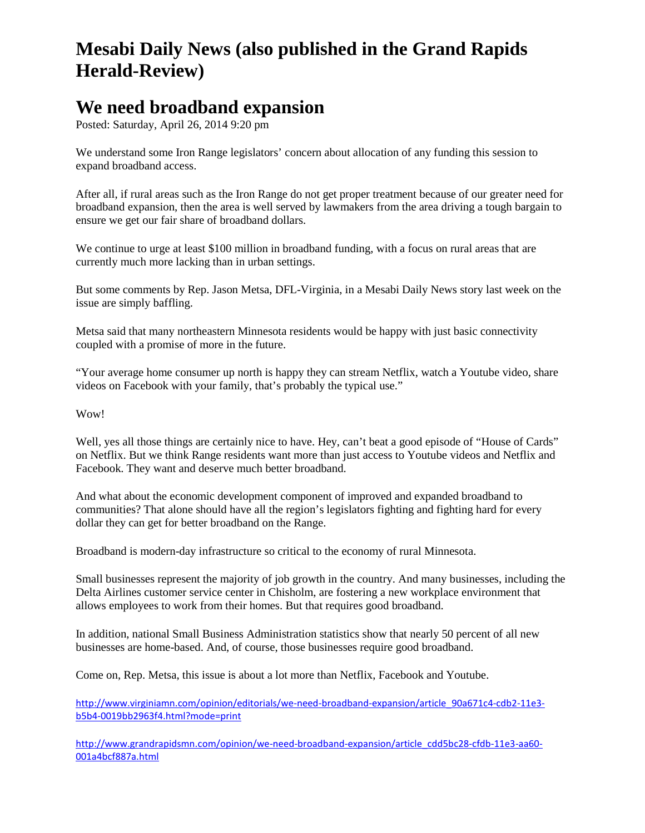## **Mesabi Daily News (also published in the Grand Rapids Herald-Review)**

### **We need broadband expansion**

Posted: Saturday, April 26, 2014 9:20 pm

We understand some Iron Range legislators' concern about allocation of any funding this session to expand broadband access.

After all, if rural areas such as the Iron Range do not get proper treatment because of our greater need for broadband expansion, then the area is well served by lawmakers from the area driving a tough bargain to ensure we get our fair share of broadband dollars.

We continue to urge at least \$100 million in broadband funding, with a focus on rural areas that are currently much more lacking than in urban settings.

But some comments by Rep. Jason Metsa, DFL-Virginia, in a Mesabi Daily News story last week on the issue are simply baffling.

Metsa said that many northeastern Minnesota residents would be happy with just basic connectivity coupled with a promise of more in the future.

"Your average home consumer up north is happy they can stream Netflix, watch a Youtube video, share videos on Facebook with your family, that's probably the typical use."

Wow!

Well, yes all those things are certainly nice to have. Hey, can't beat a good episode of "House of Cards" on Netflix. But we think Range residents want more than just access to Youtube videos and Netflix and Facebook. They want and deserve much better broadband.

And what about the economic development component of improved and expanded broadband to communities? That alone should have all the region's legislators fighting and fighting hard for every dollar they can get for better broadband on the Range.

Broadband is modern-day infrastructure so critical to the economy of rural Minnesota.

Small businesses represent the majority of job growth in the country. And many businesses, including the Delta Airlines customer service center in Chisholm, are fostering a new workplace environment that allows employees to work from their homes. But that requires good broadband.

In addition, national Small Business Administration statistics show that nearly 50 percent of all new businesses are home-based. And, of course, those businesses require good broadband.

Come on, Rep. Metsa, this issue is about a lot more than Netflix, Facebook and Youtube.

[http://www.virginiamn.com/opinion/editorials/we-need-broadband-expansion/article\\_90a671c4-cdb2-11e3](http://www.virginiamn.com/opinion/editorials/we-need-broadband-expansion/article_90a671c4-cdb2-11e3-b5b4-0019bb2963f4.html?mode=print) [b5b4-0019bb2963f4.html?mode=print](http://www.virginiamn.com/opinion/editorials/we-need-broadband-expansion/article_90a671c4-cdb2-11e3-b5b4-0019bb2963f4.html?mode=print)

[http://www.grandrapidsmn.com/opinion/we-need-broadband-expansion/article\\_cdd5bc28-cfdb-11e3-aa60-](http://www.grandrapidsmn.com/opinion/we-need-broadband-expansion/article_cdd5bc28-cfdb-11e3-aa60-001a4bcf887a.html) [001a4bcf887a.html](http://www.grandrapidsmn.com/opinion/we-need-broadband-expansion/article_cdd5bc28-cfdb-11e3-aa60-001a4bcf887a.html)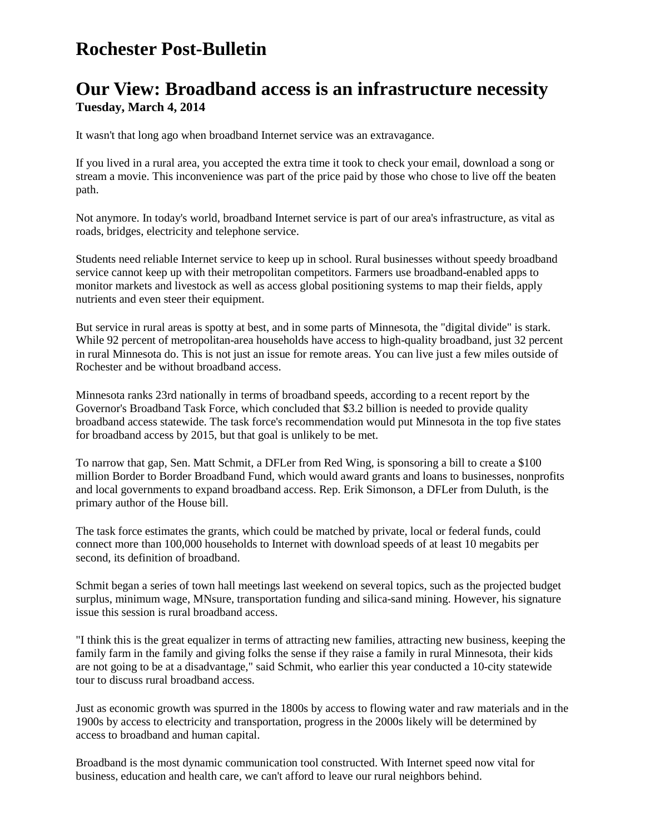### **Rochester Post-Bulletin**

### **Our View: Broadband access is an infrastructure necessity Tuesday, March 4, 2014**

It wasn't that long ago when broadband Internet service was an extravagance.

If you lived in a rural area, you accepted the extra time it took to check your email, download a song or stream a movie. This inconvenience was part of the price paid by those who chose to live off the beaten path.

Not anymore. In today's world, broadband Internet service is part of our area's infrastructure, as vital as roads, bridges, electricity and telephone service.

Students need reliable Internet service to keep up in school. Rural businesses without speedy broadband service cannot keep up with their metropolitan competitors. Farmers use broadband-enabled apps to monitor markets and livestock as well as access global positioning systems to map their fields, apply nutrients and even steer their equipment.

But service in rural areas is spotty at best, and in some parts of Minnesota, the "digital divide" is stark. While 92 percent of metropolitan-area households have access to high-quality broadband, just 32 percent in rural Minnesota do. This is not just an issue for remote areas. You can live just a few miles outside of Rochester and be without broadband access.

Minnesota ranks 23rd nationally in terms of broadband speeds, according to a recent report by the Governor's Broadband Task Force, which concluded that \$3.2 billion is needed to provide quality broadband access statewide. The task force's recommendation would put Minnesota in the top five states for broadband access by 2015, but that goal is unlikely to be met.

To narrow that gap, Sen. Matt Schmit, a DFLer from Red Wing, is sponsoring a bill to create a \$100 million Border to Border Broadband Fund, which would award grants and loans to businesses, nonprofits and local governments to expand broadband access. Rep. Erik Simonson, a DFLer from Duluth, is the primary author of the House bill.

The task force estimates the grants, which could be matched by private, local or federal funds, could connect more than 100,000 households to Internet with download speeds of at least 10 megabits per second, its definition of broadband.

Schmit began a series of town hall meetings last weekend on several topics, such as the projected budget surplus, minimum wage, MNsure, transportation funding and silica-sand mining. However, his signature issue this session is rural broadband access.

"I think this is the great equalizer in terms of attracting new families, attracting new business, keeping the family farm in the family and giving folks the sense if they raise a family in rural Minnesota, their kids are not going to be at a disadvantage," said Schmit, who earlier this year conducted a 10-city statewide tour to discuss rural broadband access.

Just as economic growth was spurred in the 1800s by access to flowing water and raw materials and in the 1900s by access to electricity and transportation, progress in the 2000s likely will be determined by access to broadband and human capital.

Broadband is the most dynamic communication tool constructed. With Internet speed now vital for business, education and health care, we can't afford to leave our rural neighbors behind.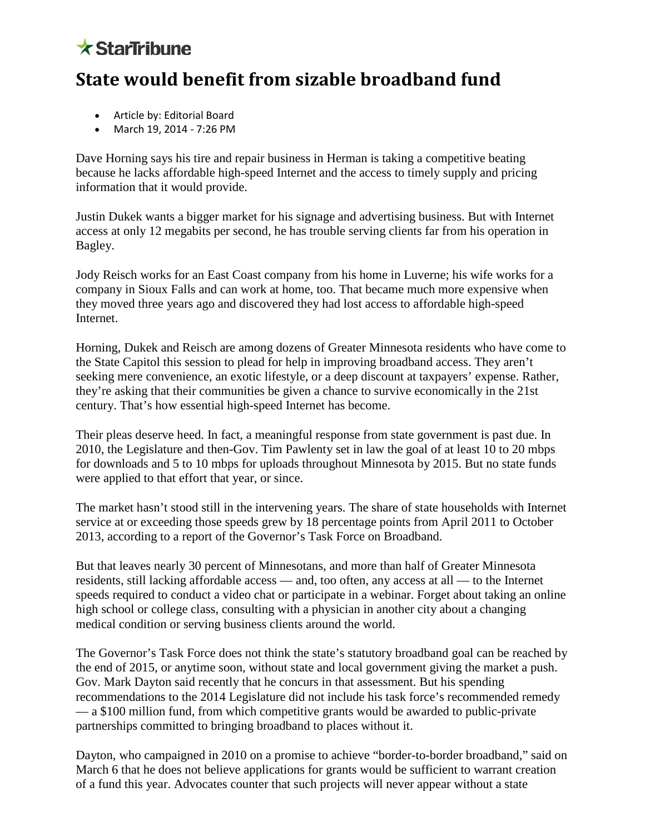# $\star$  StarTribune

### **State would benefit from sizable broadband fund**

- Article by: Editorial Board
- March 19, 2014 7:26 PM

Dave Horning says his tire and repair business in Herman is taking a competitive beating because he lacks affordable high-speed Internet and the access to timely supply and pricing information that it would provide.

Justin Dukek wants a bigger market for his signage and advertising business. But with Internet access at only 12 megabits per second, he has trouble serving clients far from his operation in Bagley.

Jody Reisch works for an East Coast company from his home in Luverne; his wife works for a company in Sioux Falls and can work at home, too. That became much more expensive when they moved three years ago and discovered they had lost access to affordable high-speed Internet.

Horning, Dukek and Reisch are among dozens of Greater Minnesota residents who have come to the State Capitol this session to plead for help in improving broadband access. They aren't seeking mere convenience, an exotic lifestyle, or a deep discount at taxpayers' expense. Rather, they're asking that their communities be given a chance to survive economically in the 21st century. That's how essential high-speed Internet has become.

Their pleas deserve heed. In fact, a meaningful response from state government is past due. In 2010, the Legislature and then-Gov. Tim Pawlenty set in law the goal of at least 10 to 20 mbps for downloads and 5 to 10 mbps for uploads throughout Minnesota by 2015. But no state funds were applied to that effort that year, or since.

The market hasn't stood still in the intervening years. The share of state households with Internet service at or exceeding those speeds grew by 18 percentage points from April 2011 to October 2013, according to a report of the [Governor's Task Force on Broadband.](http://www.connectmn.org/sites/default/files/connected-nation/Minnesota/files/2013_annual_report_governors_tf_on_bb_final.pdf)

But that leaves nearly 30 percent of Minnesotans, and more than half of Greater Minnesota residents, still lacking affordable access — and, too often, any access at all — to the Internet speeds required to conduct a video chat or participate in a webinar. Forget about taking an online high school or college class, consulting with a physician in another city about a changing medical condition or serving business clients around the world.

The Governor's Task Force does not think the state's statutory broadband goal can be reached by the end of 2015, or anytime soon, without state and local government giving the market a push. Gov. Mark Dayton said recently that he concurs in that assessment. But his spending recommendations to the 2014 Legislature did not include his task force's recommended remedy — a \$100 million fund, from which competitive grants would be awarded to public-private partnerships committed to bringing broadband to places without it.

Dayton, who campaigned in 2010 on a promise to achieve "border-to-border broadband," said on March 6 that he does not believe applications for grants would be sufficient to warrant creation of a fund this year. Advocates counter that such projects will never appear without a state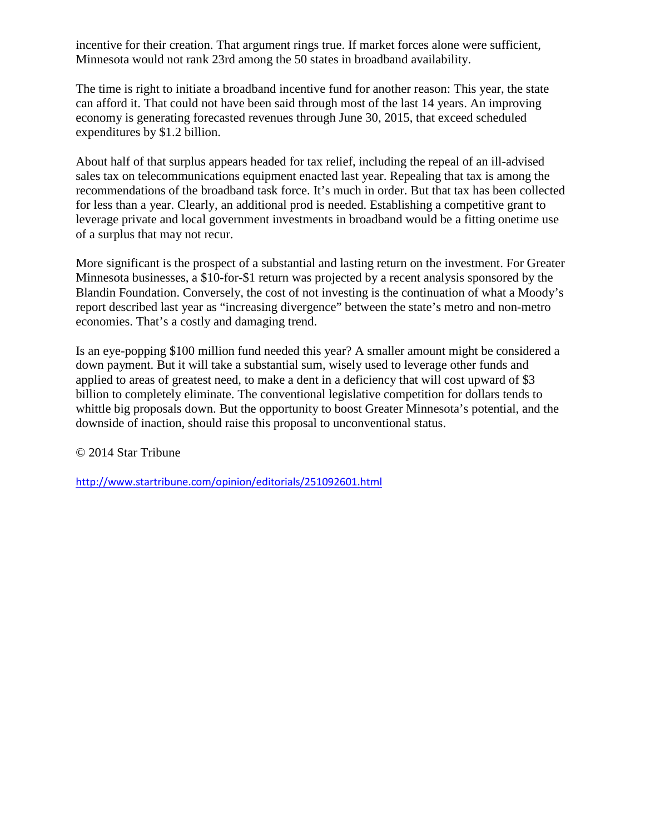incentive for their creation. That argument rings true. If market forces alone were sufficient, Minnesota would not rank 23rd among the 50 states in broadband availability.

The time is right to initiate a broadband incentive fund for another reason: This year, the state can afford it. That could not have been said through most of the last 14 years. An improving economy is generating forecasted revenues through June 30, 2015, that exceed scheduled expenditures by \$1.2 billion.

About half of that surplus appears headed for tax relief, including the repeal of an ill-advised sales tax on telecommunications equipment enacted last year. Repealing that tax is among the recommendations of the broadband task force. It's much in order. But that tax has been collected for less than a year. Clearly, an additional prod is needed. Establishing a competitive grant to leverage private and local government investments in broadband would be a fitting onetime use of a surplus that may not recur.

More significant is the prospect of a substantial and lasting return on the investment. For Greater Minnesota businesses, a \$10-for-\$1 return was projected by a [recent analysis](http://blandinfoundation.org/_uls/resources/SNG--ROI_from_Broadband_Infrastructure_and_Utilization--01-31-14.pdf) sponsored by the Blandin Foundation. Conversely, the cost of not investing is the continuation of what a Moody's report described last year as "increasing divergence" between the state's metro and non-metro economies. That's a costly and damaging trend.

Is an eye-popping \$100 million fund needed this year? A smaller amount might be considered a down payment. But it will take a substantial sum, wisely used to leverage other funds and applied to areas of greatest need, to make a dent in a deficiency that will cost upward of \$3 billion to completely eliminate. The conventional legislative competition for dollars tends to whittle big proposals down. But the opportunity to boost Greater Minnesota's potential, and the downside of inaction, should raise this proposal to unconventional status.

© 2014 Star Tribune

<http://www.startribune.com/opinion/editorials/251092601.html>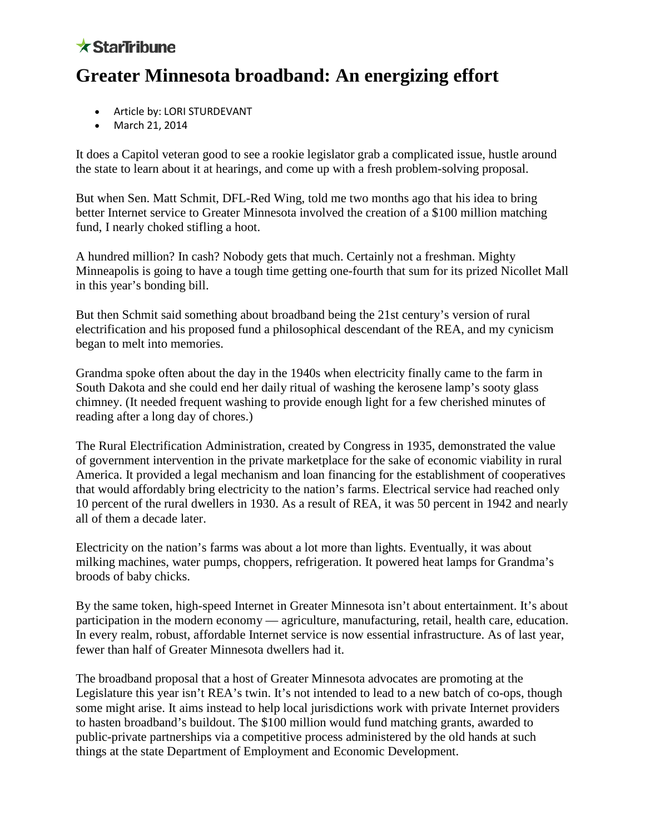### $\star$  StarTribune

# **Greater Minnesota broadband: An energizing effort**

- Article by: LORI STURDEVANT
- March 21, 2014

It does a Capitol veteran good to see a rookie legislator grab a complicated issue, hustle around the state to learn about it at hearings, and come up with a fresh problem-solving proposal.

But when Sen. Matt Schmit, DFL-Red Wing, told me two months ago that his idea to bring better Internet service to Greater Minnesota involved the creation of a \$100 million matching fund, I nearly choked stifling a hoot.

A hundred million? In cash? Nobody gets that much. Certainly not a freshman. Mighty Minneapolis is going to have a tough time getting one-fourth that sum for its prized Nicollet Mall in this year's bonding bill.

But then Schmit said something about broadband being the 21st century's version of rural electrification and his proposed fund a philosophical descendant of the REA, and my cynicism began to melt into memories.

Grandma spoke often about the day in the 1940s when electricity finally came to the farm in South Dakota and she could end her daily ritual of washing the kerosene lamp's sooty glass chimney. (It needed frequent washing to provide enough light for a few cherished minutes of reading after a long day of chores.)

The Rural Electrification Administration, created by Congress in 1935, demonstrated the value of government intervention in the private marketplace for the sake of economic viability in rural America. It provided a legal mechanism and loan financing for the establishment of cooperatives that would affordably bring electricity to the nation's farms. Electrical service had reached only 10 percent of the rural dwellers in 1930. As a result of REA, it was 50 percent in 1942 and nearly all of them a decade later.

Electricity on the nation's farms was about a lot more than lights. Eventually, it was about milking machines, water pumps, choppers, refrigeration. It powered heat lamps for Grandma's broods of baby chicks.

By the same token, high-speed Internet in Greater Minnesota isn't about entertainment. It's about participation in the modern economy — agriculture, manufacturing, retail, health care, education. In every realm, robust, affordable Internet service is now essential infrastructure. As of last year, fewer than half of Greater Minnesota dwellers had it.

The broadband proposal that a host of Greater Minnesota advocates are promoting at the Legislature this year isn't REA's twin. It's not intended to lead to a new batch of co-ops, though some might arise. It aims instead to help local jurisdictions work with private Internet providers to hasten broadband's buildout. The \$100 million would fund matching grants, awarded to public-private partnerships via a competitive process administered by the old hands at such things at the state Department of Employment and Economic Development.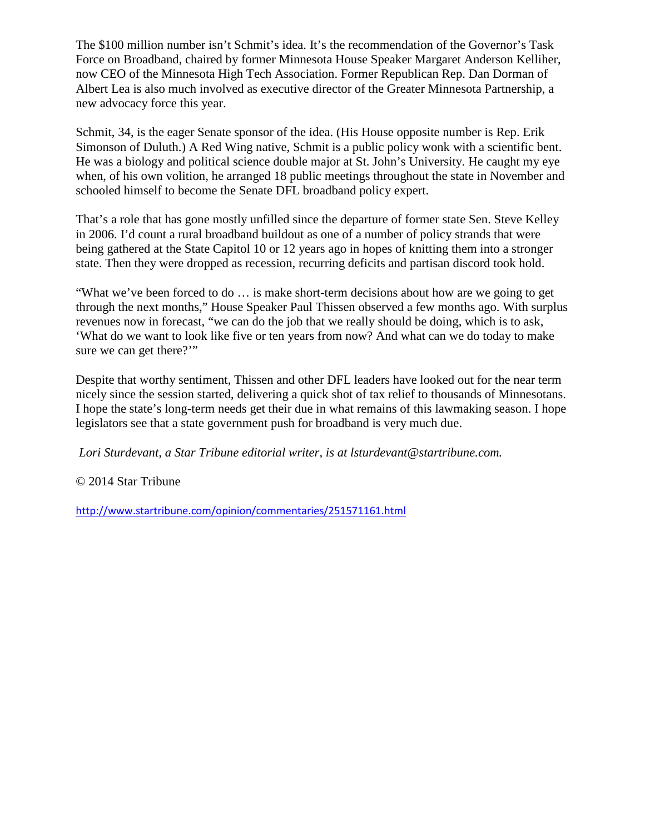The \$100 million number isn't Schmit's idea. It's the recommendation of the Governor's Task Force on Broadband, chaired by former Minnesota House Speaker Margaret Anderson Kelliher, now CEO of the Minnesota High Tech Association. Former Republican Rep. Dan Dorman of Albert Lea is also much involved as executive director of the Greater Minnesota Partnership, a new advocacy force this year.

Schmit, 34, is the eager Senate sponsor of the idea. (His House opposite number is Rep. Erik Simonson of Duluth.) A Red Wing native, Schmit is a public policy wonk with a scientific bent. He was a biology and political science double major at St. John's University. He caught my eye when, of his own volition, he arranged 18 public meetings throughout the state in November and schooled himself to become the Senate DFL broadband policy expert.

That's a role that has gone mostly unfilled since the departure of former state Sen. Steve Kelley in 2006. I'd count a rural broadband buildout as one of a number of policy strands that were being gathered at the State Capitol 10 or 12 years ago in hopes of knitting them into a stronger state. Then they were dropped as recession, recurring deficits and partisan discord took hold.

"What we've been forced to do … is make short-term decisions about how are we going to get through the next months," House Speaker Paul Thissen observed a few months ago. With surplus revenues now in forecast, "we can do the job that we really should be doing, which is to ask, 'What do we want to look like five or ten years from now? And what can we do today to make sure we can get there?"

Despite that worthy sentiment, Thissen and other DFL leaders have looked out for the near term nicely since the session started, delivering a quick shot of tax relief to thousands of Minnesotans. I hope the state's long-term needs get their due in what remains of this lawmaking season. I hope legislators see that a state government push for broadband is very much due.

*Lori Sturdevant, a Star Tribune editorial writer, is at lsturdevant@startribune.com.*

© 2014 Star Tribune

<http://www.startribune.com/opinion/commentaries/251571161.html>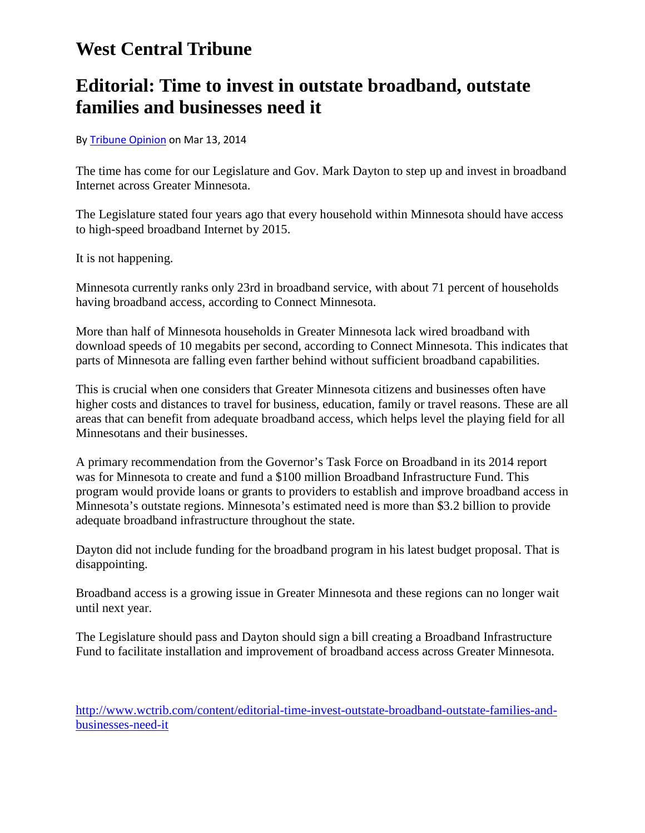### **West Central Tribune**

### **Editorial: Time to invest in outstate broadband, outstate families and businesses need it**

#### B[y Tribune Opinion](http://www.wctrib.com/users/tribune-opinion) on Mar 13, 2014

The time has come for our Legislature and Gov. Mark Dayton to step up and invest in broadband Internet across Greater Minnesota.

The Legislature stated four years ago that every household within Minnesota should have access to high-speed broadband Internet by 2015.

It is not happening.

Minnesota currently ranks only 23rd in broadband service, with about 71 percent of households having broadband access, according to Connect Minnesota.

More than half of Minnesota households in Greater Minnesota lack wired broadband with download speeds of 10 megabits per second, according to Connect Minnesota. This indicates that parts of Minnesota are falling even farther behind without sufficient broadband capabilities.

This is crucial when one considers that Greater Minnesota citizens and businesses often have higher costs and distances to travel for business, education, family or travel reasons. These are all areas that can benefit from adequate broadband access, which helps level the playing field for all Minnesotans and their businesses.

A primary recommendation from the Governor's Task Force on Broadband in its 2014 report was for Minnesota to create and fund a \$100 million Broadband Infrastructure Fund. This program would provide loans or grants to providers to establish and improve broadband access in Minnesota's outstate regions. Minnesota's estimated need is more than \$3.2 billion to provide adequate broadband infrastructure throughout the state.

Dayton did not include funding for the broadband program in his latest budget proposal. That is disappointing.

Broadband access is a growing issue in Greater Minnesota and these regions can no longer wait until next year.

The Legislature should pass and Dayton should sign a bill creating a Broadband Infrastructure Fund to facilitate installation and improvement of broadband access across Greater Minnesota.

[http://www.wctrib.com/content/editorial-time-invest-outstate-broadband-outstate-families-and](http://www.wctrib.com/content/editorial-time-invest-outstate-broadband-outstate-families-and-businesses-need-it)[businesses-need-it](http://www.wctrib.com/content/editorial-time-invest-outstate-broadband-outstate-families-and-businesses-need-it)